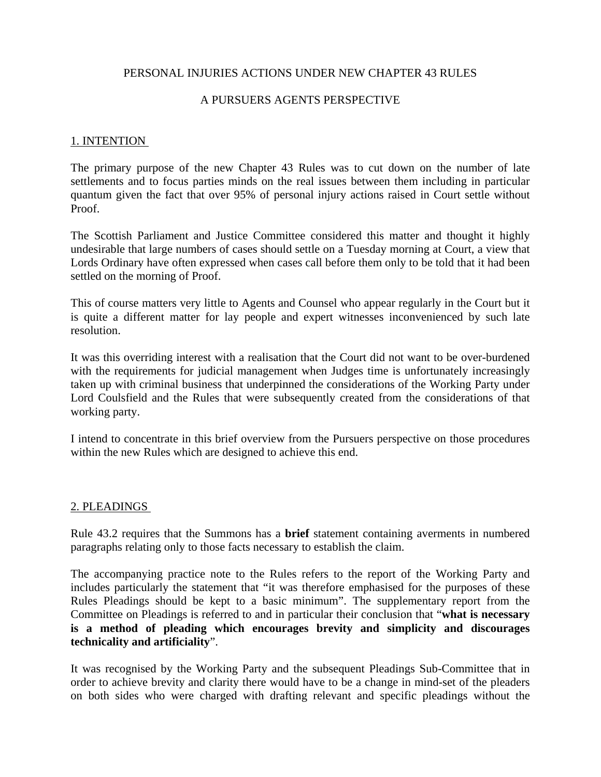### PERSONAL INJURIES ACTIONS UNDER NEW CHAPTER 43 RULES

### A PURSUERS AGENTS PERSPECTIVE

#### 1. INTENTION

The primary purpose of the new Chapter 43 Rules was to cut down on the number of late settlements and to focus parties minds on the real issues between them including in particular quantum given the fact that over 95% of personal injury actions raised in Court settle without Proof.

The Scottish Parliament and Justice Committee considered this matter and thought it highly undesirable that large numbers of cases should settle on a Tuesday morning at Court, a view that Lords Ordinary have often expressed when cases call before them only to be told that it had been settled on the morning of Proof.

This of course matters very little to Agents and Counsel who appear regularly in the Court but it is quite a different matter for lay people and expert witnesses inconvenienced by such late resolution.

It was this overriding interest with a realisation that the Court did not want to be over-burdened with the requirements for judicial management when Judges time is unfortunately increasingly taken up with criminal business that underpinned the considerations of the Working Party under Lord Coulsfield and the Rules that were subsequently created from the considerations of that working party.

I intend to concentrate in this brief overview from the Pursuers perspective on those procedures within the new Rules which are designed to achieve this end.

### 2. PLEADINGS

Rule 43.2 requires that the Summons has a **brief** statement containing averments in numbered paragraphs relating only to those facts necessary to establish the claim.

The accompanying practice note to the Rules refers to the report of the Working Party and includes particularly the statement that "it was therefore emphasised for the purposes of these Rules Pleadings should be kept to a basic minimum". The supplementary report from the Committee on Pleadings is referred to and in particular their conclusion that "**what is necessary is a method of pleading which encourages brevity and simplicity and discourages technicality and artificiality**".

It was recognised by the Working Party and the subsequent Pleadings Sub-Committee that in order to achieve brevity and clarity there would have to be a change in mind-set of the pleaders on both sides who were charged with drafting relevant and specific pleadings without the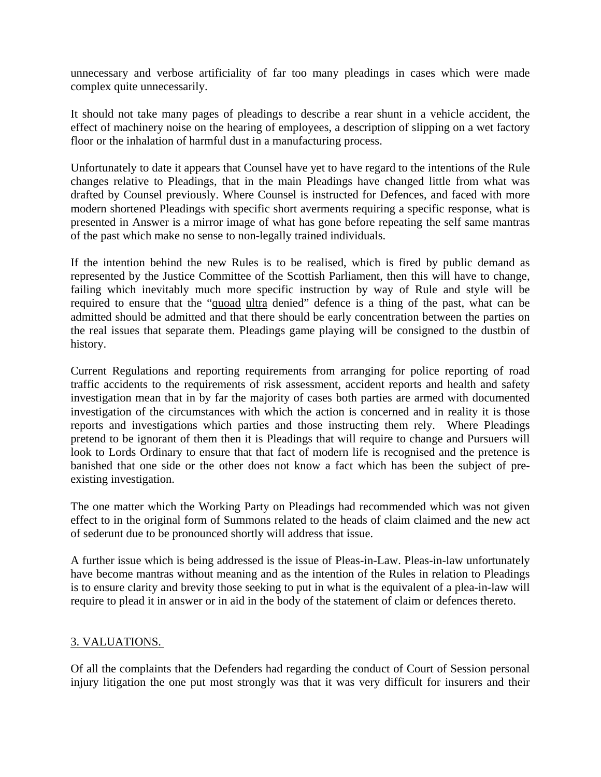unnecessary and verbose artificiality of far too many pleadings in cases which were made complex quite unnecessarily.

It should not take many pages of pleadings to describe a rear shunt in a vehicle accident, the effect of machinery noise on the hearing of employees, a description of slipping on a wet factory floor or the inhalation of harmful dust in a manufacturing process.

Unfortunately to date it appears that Counsel have yet to have regard to the intentions of the Rule changes relative to Pleadings, that in the main Pleadings have changed little from what was drafted by Counsel previously. Where Counsel is instructed for Defences, and faced with more modern shortened Pleadings with specific short averments requiring a specific response, what is presented in Answer is a mirror image of what has gone before repeating the self same mantras of the past which make no sense to non-legally trained individuals.

If the intention behind the new Rules is to be realised, which is fired by public demand as represented by the Justice Committee of the Scottish Parliament, then this will have to change, failing which inevitably much more specific instruction by way of Rule and style will be required to ensure that the "quoad ultra denied" defence is a thing of the past, what can be admitted should be admitted and that there should be early concentration between the parties on the real issues that separate them. Pleadings game playing will be consigned to the dustbin of history.

Current Regulations and reporting requirements from arranging for police reporting of road traffic accidents to the requirements of risk assessment, accident reports and health and safety investigation mean that in by far the majority of cases both parties are armed with documented investigation of the circumstances with which the action is concerned and in reality it is those reports and investigations which parties and those instructing them rely. Where Pleadings pretend to be ignorant of them then it is Pleadings that will require to change and Pursuers will look to Lords Ordinary to ensure that that fact of modern life is recognised and the pretence is banished that one side or the other does not know a fact which has been the subject of preexisting investigation.

The one matter which the Working Party on Pleadings had recommended which was not given effect to in the original form of Summons related to the heads of claim claimed and the new act of sederunt due to be pronounced shortly will address that issue.

A further issue which is being addressed is the issue of Pleas-in-Law. Pleas-in-law unfortunately have become mantras without meaning and as the intention of the Rules in relation to Pleadings is to ensure clarity and brevity those seeking to put in what is the equivalent of a plea-in-law will require to plead it in answer or in aid in the body of the statement of claim or defences thereto.

# 3. VALUATIONS.

Of all the complaints that the Defenders had regarding the conduct of Court of Session personal injury litigation the one put most strongly was that it was very difficult for insurers and their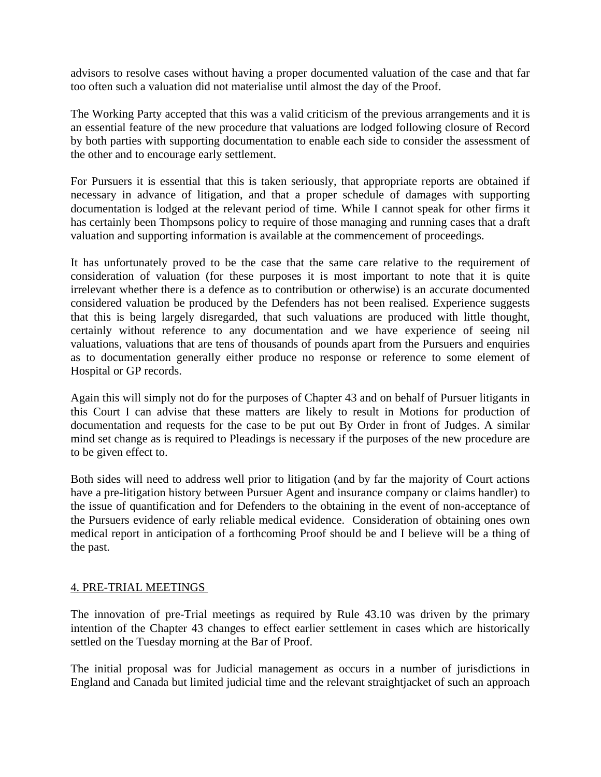advisors to resolve cases without having a proper documented valuation of the case and that far too often such a valuation did not materialise until almost the day of the Proof.

The Working Party accepted that this was a valid criticism of the previous arrangements and it is an essential feature of the new procedure that valuations are lodged following closure of Record by both parties with supporting documentation to enable each side to consider the assessment of the other and to encourage early settlement.

For Pursuers it is essential that this is taken seriously, that appropriate reports are obtained if necessary in advance of litigation, and that a proper schedule of damages with supporting documentation is lodged at the relevant period of time. While I cannot speak for other firms it has certainly been Thompsons policy to require of those managing and running cases that a draft valuation and supporting information is available at the commencement of proceedings.

It has unfortunately proved to be the case that the same care relative to the requirement of consideration of valuation (for these purposes it is most important to note that it is quite irrelevant whether there is a defence as to contribution or otherwise) is an accurate documented considered valuation be produced by the Defenders has not been realised. Experience suggests that this is being largely disregarded, that such valuations are produced with little thought, certainly without reference to any documentation and we have experience of seeing nil valuations, valuations that are tens of thousands of pounds apart from the Pursuers and enquiries as to documentation generally either produce no response or reference to some element of Hospital or GP records.

Again this will simply not do for the purposes of Chapter 43 and on behalf of Pursuer litigants in this Court I can advise that these matters are likely to result in Motions for production of documentation and requests for the case to be put out By Order in front of Judges. A similar mind set change as is required to Pleadings is necessary if the purposes of the new procedure are to be given effect to.

Both sides will need to address well prior to litigation (and by far the majority of Court actions have a pre-litigation history between Pursuer Agent and insurance company or claims handler) to the issue of quantification and for Defenders to the obtaining in the event of non-acceptance of the Pursuers evidence of early reliable medical evidence. Consideration of obtaining ones own medical report in anticipation of a forthcoming Proof should be and I believe will be a thing of the past.

# 4. PRE-TRIAL MEETINGS

The innovation of pre-Trial meetings as required by Rule 43.10 was driven by the primary intention of the Chapter 43 changes to effect earlier settlement in cases which are historically settled on the Tuesday morning at the Bar of Proof.

The initial proposal was for Judicial management as occurs in a number of jurisdictions in England and Canada but limited judicial time and the relevant straightjacket of such an approach